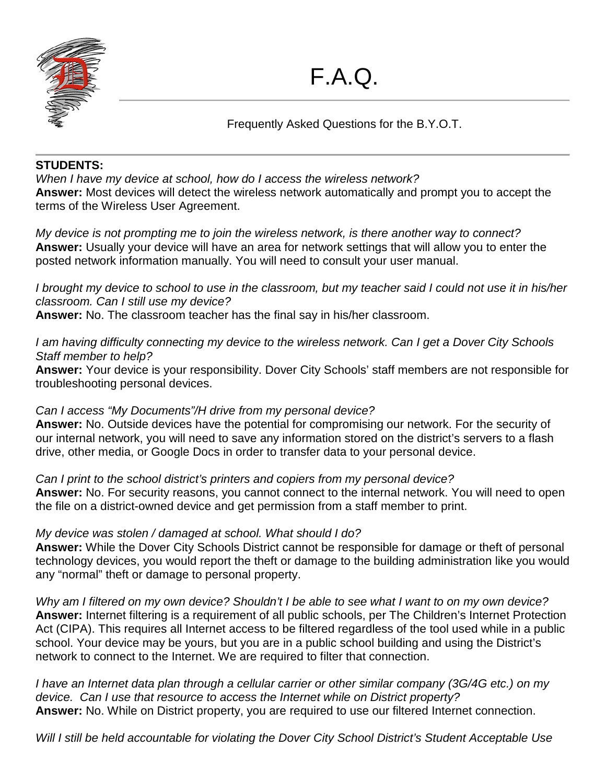

Frequently Asked Questions for the B.Y.O.T.

# **STUDENTS:**

*When I have my device at school, how do I access the wireless network?* **Answer:** Most devices will detect the wireless network automatically and prompt you to accept the terms of the Wireless User Agreement.

*My device is not prompting me to join the wireless network, is there another way to connect?* **Answer:** Usually your device will have an area for network settings that will allow you to enter the posted network information manually. You will need to consult your user manual.

*I brought my device to school to use in the classroom, but my teacher said I could not use it in his/her classroom. Can I still use my device?*

**Answer:** No. The classroom teacher has the final say in his/her classroom.

*I am having difficulty connecting my device to the wireless network. Can I get a Dover City Schools Staff member to help?*

**Answer:** Your device is your responsibility. Dover City Schools' staff members are not responsible for troubleshooting personal devices.

## *Can I access "My Documents"/H drive from my personal device?*

**Answer:** No. Outside devices have the potential for compromising our network. For the security of our internal network, you will need to save any information stored on the district's servers to a flash drive, other media, or Google Docs in order to transfer data to your personal device.

*Can I print to the school district's printers and copiers from my personal device?* **Answer:** No. For security reasons, you cannot connect to the internal network. You will need to open the file on a district-owned device and get permission from a staff member to print.

## *My device was stolen / damaged at school. What should I do?*

**Answer:** While the Dover City Schools District cannot be responsible for damage or theft of personal technology devices, you would report the theft or damage to the building administration like you would any "normal" theft or damage to personal property.

*Why am I filtered on my own device? Shouldn't I be able to see what I want to on my own device?* **Answer:** Internet filtering is a requirement of all public schools, per The Children's Internet Protection Act (CIPA). This requires all Internet access to be filtered regardless of the tool used while in a public school. Your device may be yours, but you are in a public school building and using the District's network to connect to the Internet. We are required to filter that connection.

*I have an Internet data plan through a cellular carrier or other similar company (3G/4G etc.) on my device. Can I use that resource to access the Internet while on District property?* **Answer:** No. While on District property, you are required to use our filtered Internet connection.

*Will I still be held accountable for violating the Dover City School District's Student Acceptable Use*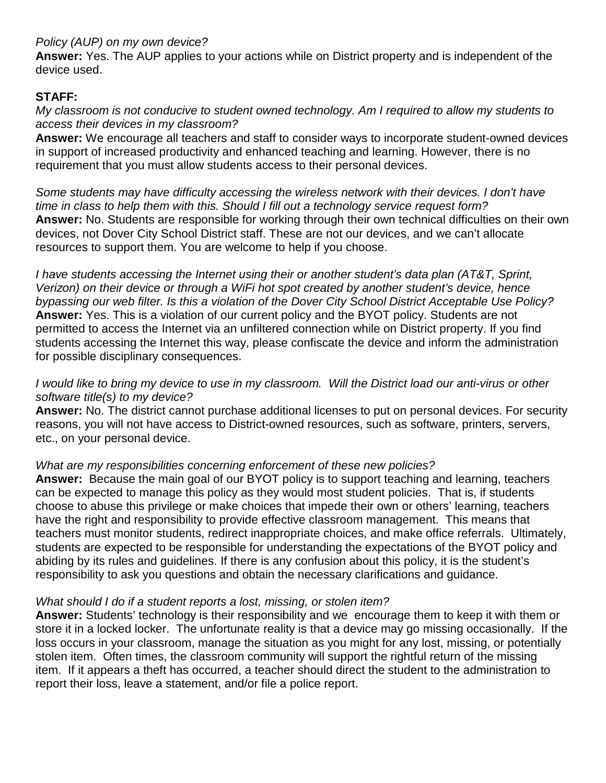### *Policy (AUP) on my own device?*

**Answer:** Yes. The AUP applies to your actions while on District property and is independent of the device used.

### **STAFF:**

### *My classroom is not conducive to student owned technology. Am I required to allow my students to access their devices in my classroom?*

**Answer:** We encourage all teachers and staff to consider ways to incorporate student-owned devices in support of increased productivity and enhanced teaching and learning. However, there is no requirement that you must allow students access to their personal devices.

*Some students may have difficulty accessing the wireless network with their devices. I don't have time in class to help them with this. Should I fill out a technology service request form?* **Answer:** No. Students are responsible for working through their own technical difficulties on their own devices, not Dover City School District staff. These are not our devices, and we can't allocate resources to support them. You are welcome to help if you choose.

*I have students accessing the Internet using their or another student's data plan (AT&T, Sprint, Verizon) on their device or through a WiFi hot spot created by another student's device, hence bypassing our web filter. Is this a violation of the Dover City School District Acceptable Use Policy?* **Answer:** Yes. This is a violation of our current policy and the BYOT policy. Students are not permitted to access the Internet via an unfiltered connection while on District property. If you find students accessing the Internet this way, please confiscate the device and inform the administration for possible disciplinary consequences.

#### *I would like to bring my device to use in my classroom. Will the District load our anti-virus or other software title(s) to my device?*

**Answer:** No. The district cannot purchase additional licenses to put on personal devices. For security reasons, you will not have access to District-owned resources, such as software, printers, servers, etc., on your personal device.

### *What are my responsibilities concerning enforcement of these new policies?*

**Answer:** Because the main goal of our BYOT policy is to support teaching and learning, teachers can be expected to manage this policy as they would most student policies. That is, if students choose to abuse this privilege or make choices that impede their own or others' learning, teachers have the right and responsibility to provide effective classroom management. This means that teachers must monitor students, redirect inappropriate choices, and make office referrals. Ultimately, students are expected to be responsible for understanding the expectations of the BYOT policy and abiding by its rules and guidelines. If there is any confusion about this policy, it is the student's responsibility to ask you questions and obtain the necessary clarifications and guidance.

## *What should I do if a student reports a lost, missing, or stolen item?*

**Answer:** Students' technology is their responsibility and we encourage them to keep it with them or store it in a locked locker. The unfortunate reality is that a device may go missing occasionally. If the loss occurs in your classroom, manage the situation as you might for any lost, missing, or potentially stolen item. Often times, the classroom community will support the rightful return of the missing item. If it appears a theft has occurred, a teacher should direct the student to the administration to report their loss, leave a statement, and/or file a police report.